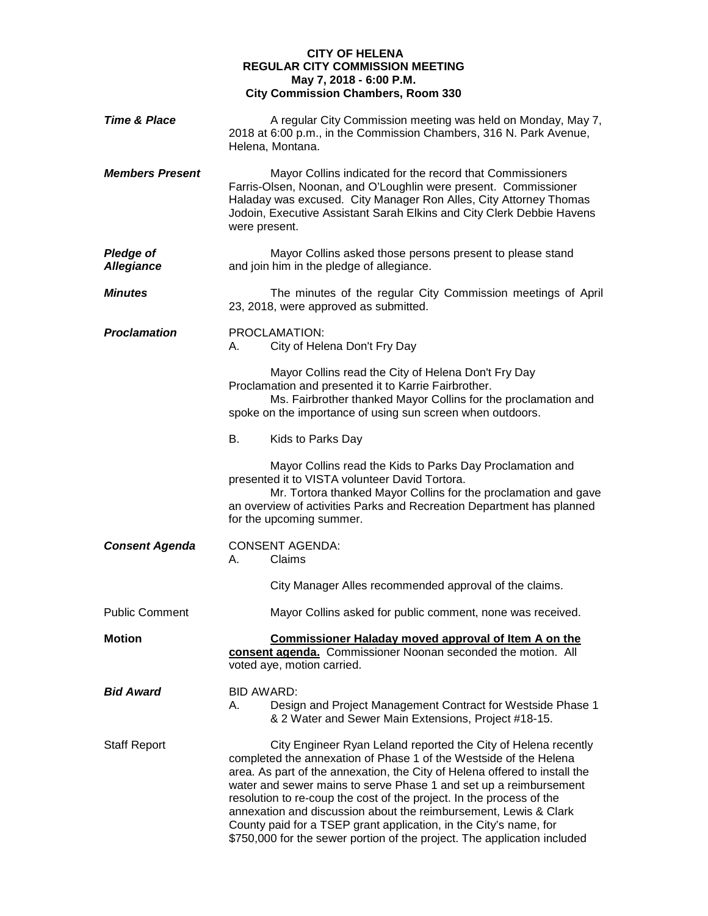# **CITY OF HELENA REGULAR CITY COMMISSION MEETING May 7, 2018 - 6:00 P.M. City Commission Chambers, Room 330**

| <b>Time &amp; Place</b>               | A regular City Commission meeting was held on Monday, May 7,<br>2018 at 6:00 p.m., in the Commission Chambers, 316 N. Park Avenue,<br>Helena, Montana.                                                                                                                                                                                                                                                                                                                                                                                                                              |
|---------------------------------------|-------------------------------------------------------------------------------------------------------------------------------------------------------------------------------------------------------------------------------------------------------------------------------------------------------------------------------------------------------------------------------------------------------------------------------------------------------------------------------------------------------------------------------------------------------------------------------------|
| <b>Members Present</b>                | Mayor Collins indicated for the record that Commissioners<br>Farris-Olsen, Noonan, and O'Loughlin were present. Commissioner<br>Haladay was excused. City Manager Ron Alles, City Attorney Thomas<br>Jodoin, Executive Assistant Sarah Elkins and City Clerk Debbie Havens<br>were present.                                                                                                                                                                                                                                                                                         |
| <b>Pledge of</b><br><b>Allegiance</b> | Mayor Collins asked those persons present to please stand<br>and join him in the pledge of allegiance.                                                                                                                                                                                                                                                                                                                                                                                                                                                                              |
| <b>Minutes</b>                        | The minutes of the regular City Commission meetings of April<br>23, 2018, were approved as submitted.                                                                                                                                                                                                                                                                                                                                                                                                                                                                               |
| <b>Proclamation</b>                   | PROCLAMATION:<br>City of Helena Don't Fry Day<br>А.                                                                                                                                                                                                                                                                                                                                                                                                                                                                                                                                 |
|                                       | Mayor Collins read the City of Helena Don't Fry Day<br>Proclamation and presented it to Karrie Fairbrother.<br>Ms. Fairbrother thanked Mayor Collins for the proclamation and<br>spoke on the importance of using sun screen when outdoors.                                                                                                                                                                                                                                                                                                                                         |
|                                       | В.<br>Kids to Parks Day                                                                                                                                                                                                                                                                                                                                                                                                                                                                                                                                                             |
|                                       | Mayor Collins read the Kids to Parks Day Proclamation and<br>presented it to VISTA volunteer David Tortora.<br>Mr. Tortora thanked Mayor Collins for the proclamation and gave<br>an overview of activities Parks and Recreation Department has planned<br>for the upcoming summer.                                                                                                                                                                                                                                                                                                 |
| <b>Consent Agenda</b>                 | <b>CONSENT AGENDA:</b><br>Claims<br>А.                                                                                                                                                                                                                                                                                                                                                                                                                                                                                                                                              |
|                                       | City Manager Alles recommended approval of the claims.                                                                                                                                                                                                                                                                                                                                                                                                                                                                                                                              |
| <b>Public Comment</b>                 | Mayor Collins asked for public comment, none was received.                                                                                                                                                                                                                                                                                                                                                                                                                                                                                                                          |
| <b>Motion</b>                         | Commissioner Haladay moved approval of Item A on the<br>consent agenda. Commissioner Noonan seconded the motion. All<br>voted aye, motion carried.                                                                                                                                                                                                                                                                                                                                                                                                                                  |
| <b>Bid Award</b>                      | <b>BID AWARD:</b><br>А.<br>Design and Project Management Contract for Westside Phase 1<br>& 2 Water and Sewer Main Extensions, Project #18-15.                                                                                                                                                                                                                                                                                                                                                                                                                                      |
| <b>Staff Report</b>                   | City Engineer Ryan Leland reported the City of Helena recently<br>completed the annexation of Phase 1 of the Westside of the Helena<br>area. As part of the annexation, the City of Helena offered to install the<br>water and sewer mains to serve Phase 1 and set up a reimbursement<br>resolution to re-coup the cost of the project. In the process of the<br>annexation and discussion about the reimbursement, Lewis & Clark<br>County paid for a TSEP grant application, in the City's name, for<br>\$750,000 for the sewer portion of the project. The application included |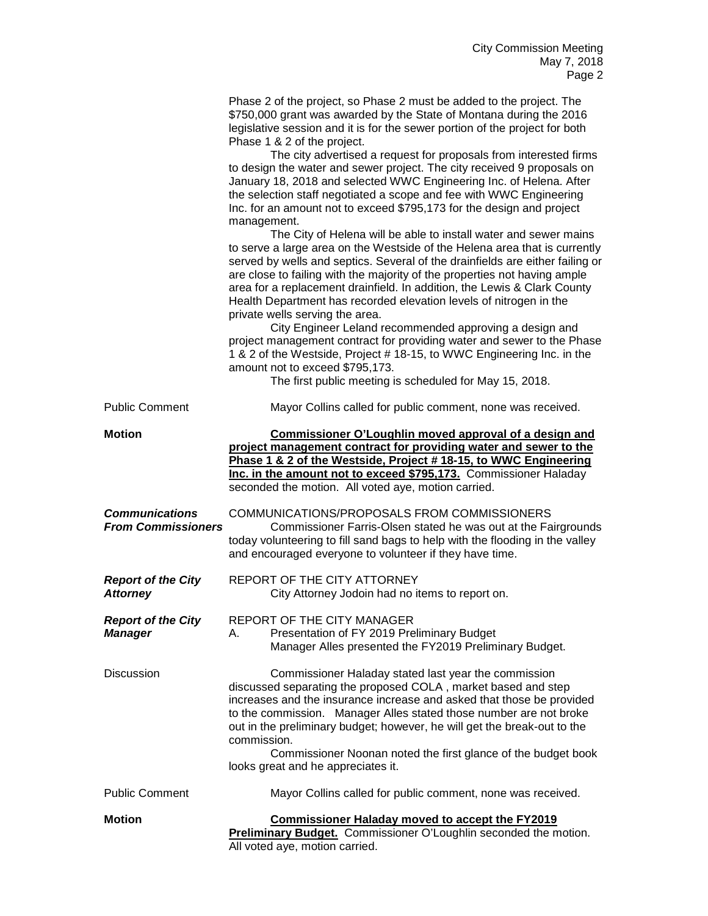|                                                    | Phase 2 of the project, so Phase 2 must be added to the project. The<br>\$750,000 grant was awarded by the State of Montana during the 2016<br>legislative session and it is for the sewer portion of the project for both<br>Phase 1 & 2 of the project.<br>The city advertised a request for proposals from interested firms<br>to design the water and sewer project. The city received 9 proposals on<br>January 18, 2018 and selected WWC Engineering Inc. of Helena. After<br>the selection staff negotiated a scope and fee with WWC Engineering<br>Inc. for an amount not to exceed \$795,173 for the design and project<br>management.<br>The City of Helena will be able to install water and sewer mains<br>to serve a large area on the Westside of the Helena area that is currently<br>served by wells and septics. Several of the drainfields are either failing or<br>are close to failing with the majority of the properties not having ample<br>area for a replacement drainfield. In addition, the Lewis & Clark County<br>Health Department has recorded elevation levels of nitrogen in the<br>private wells serving the area.<br>City Engineer Leland recommended approving a design and<br>project management contract for providing water and sewer to the Phase<br>1 & 2 of the Westside, Project # 18-15, to WWC Engineering Inc. in the<br>amount not to exceed \$795,173.<br>The first public meeting is scheduled for May 15, 2018. |
|----------------------------------------------------|-------------------------------------------------------------------------------------------------------------------------------------------------------------------------------------------------------------------------------------------------------------------------------------------------------------------------------------------------------------------------------------------------------------------------------------------------------------------------------------------------------------------------------------------------------------------------------------------------------------------------------------------------------------------------------------------------------------------------------------------------------------------------------------------------------------------------------------------------------------------------------------------------------------------------------------------------------------------------------------------------------------------------------------------------------------------------------------------------------------------------------------------------------------------------------------------------------------------------------------------------------------------------------------------------------------------------------------------------------------------------------------------------------------------------------------------------------------------|
| <b>Public Comment</b>                              | Mayor Collins called for public comment, none was received.                                                                                                                                                                                                                                                                                                                                                                                                                                                                                                                                                                                                                                                                                                                                                                                                                                                                                                                                                                                                                                                                                                                                                                                                                                                                                                                                                                                                       |
| <b>Motion</b>                                      | Commissioner O'Loughlin moved approval of a design and<br>project management contract for providing water and sewer to the<br>Phase 1 & 2 of the Westside, Project #18-15, to WWC Engineering<br>Inc. in the amount not to exceed \$795,173. Commissioner Haladay<br>seconded the motion. All voted aye, motion carried.                                                                                                                                                                                                                                                                                                                                                                                                                                                                                                                                                                                                                                                                                                                                                                                                                                                                                                                                                                                                                                                                                                                                          |
| <b>Communications</b><br><b>From Commissioners</b> | COMMUNICATIONS/PROPOSALS FROM COMMISSIONERS<br>Commissioner Farris-Olsen stated he was out at the Fairgrounds<br>today volunteering to fill sand bags to help with the flooding in the valley<br>and encouraged everyone to volunteer if they have time.                                                                                                                                                                                                                                                                                                                                                                                                                                                                                                                                                                                                                                                                                                                                                                                                                                                                                                                                                                                                                                                                                                                                                                                                          |
| <b>Report of the City</b><br><b>Attorney</b>       | REPORT OF THE CITY ATTORNEY<br>City Attorney Jodoin had no items to report on.                                                                                                                                                                                                                                                                                                                                                                                                                                                                                                                                                                                                                                                                                                                                                                                                                                                                                                                                                                                                                                                                                                                                                                                                                                                                                                                                                                                    |
| <b>Report of the City</b><br><b>Manager</b>        | <b>REPORT OF THE CITY MANAGER</b><br>Presentation of FY 2019 Preliminary Budget<br>А.<br>Manager Alles presented the FY2019 Preliminary Budget.                                                                                                                                                                                                                                                                                                                                                                                                                                                                                                                                                                                                                                                                                                                                                                                                                                                                                                                                                                                                                                                                                                                                                                                                                                                                                                                   |
| <b>Discussion</b>                                  | Commissioner Haladay stated last year the commission<br>discussed separating the proposed COLA, market based and step<br>increases and the insurance increase and asked that those be provided<br>to the commission. Manager Alles stated those number are not broke<br>out in the preliminary budget; however, he will get the break-out to the<br>commission.<br>Commissioner Noonan noted the first glance of the budget book<br>looks great and he appreciates it.                                                                                                                                                                                                                                                                                                                                                                                                                                                                                                                                                                                                                                                                                                                                                                                                                                                                                                                                                                                            |
| <b>Public Comment</b>                              | Mayor Collins called for public comment, none was received.                                                                                                                                                                                                                                                                                                                                                                                                                                                                                                                                                                                                                                                                                                                                                                                                                                                                                                                                                                                                                                                                                                                                                                                                                                                                                                                                                                                                       |
| <b>Motion</b>                                      | <b>Commissioner Haladay moved to accept the FY2019</b><br>Preliminary Budget. Commissioner O'Loughlin seconded the motion.<br>All voted aye, motion carried.                                                                                                                                                                                                                                                                                                                                                                                                                                                                                                                                                                                                                                                                                                                                                                                                                                                                                                                                                                                                                                                                                                                                                                                                                                                                                                      |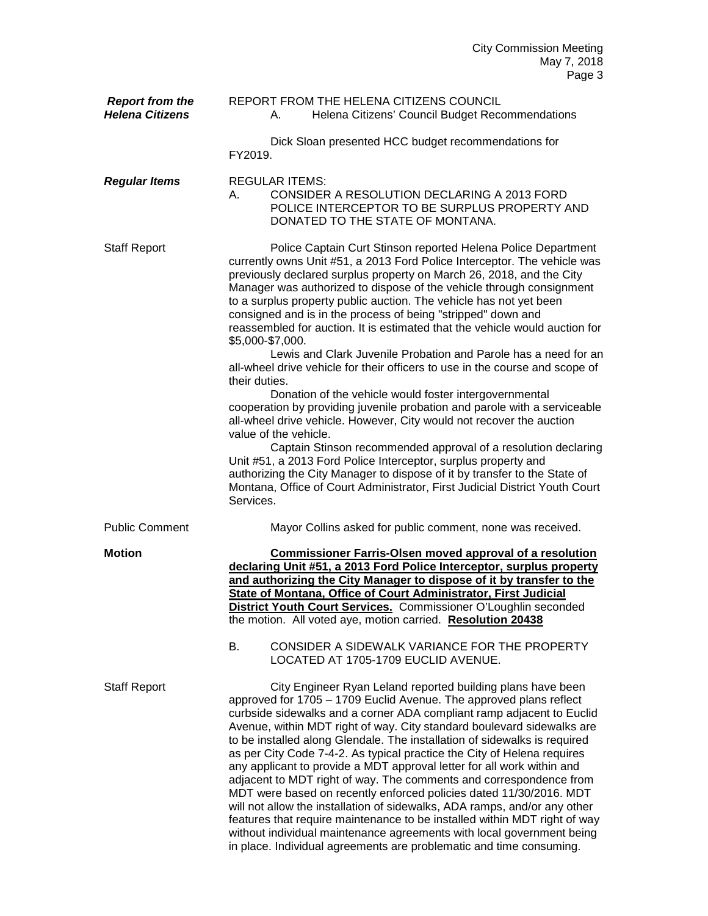| <b>Report from the</b><br><b>Helena Citizens</b> | REPORT FROM THE HELENA CITIZENS COUNCIL<br>Helena Citizens' Council Budget Recommendations<br>А.                                                                                                                                                                                                                                                                                                                                                                                                                                                                                                                                                                                                                                                                                                                                                                                                                                                                                                                                                                                                                                                                                                                                                            |
|--------------------------------------------------|-------------------------------------------------------------------------------------------------------------------------------------------------------------------------------------------------------------------------------------------------------------------------------------------------------------------------------------------------------------------------------------------------------------------------------------------------------------------------------------------------------------------------------------------------------------------------------------------------------------------------------------------------------------------------------------------------------------------------------------------------------------------------------------------------------------------------------------------------------------------------------------------------------------------------------------------------------------------------------------------------------------------------------------------------------------------------------------------------------------------------------------------------------------------------------------------------------------------------------------------------------------|
|                                                  | Dick Sloan presented HCC budget recommendations for<br>FY2019.                                                                                                                                                                                                                                                                                                                                                                                                                                                                                                                                                                                                                                                                                                                                                                                                                                                                                                                                                                                                                                                                                                                                                                                              |
| <b>Regular Items</b>                             | <b>REGULAR ITEMS:</b><br>CONSIDER A RESOLUTION DECLARING A 2013 FORD<br>А.<br>POLICE INTERCEPTOR TO BE SURPLUS PROPERTY AND<br>DONATED TO THE STATE OF MONTANA.                                                                                                                                                                                                                                                                                                                                                                                                                                                                                                                                                                                                                                                                                                                                                                                                                                                                                                                                                                                                                                                                                             |
| <b>Staff Report</b>                              | Police Captain Curt Stinson reported Helena Police Department<br>currently owns Unit #51, a 2013 Ford Police Interceptor. The vehicle was<br>previously declared surplus property on March 26, 2018, and the City<br>Manager was authorized to dispose of the vehicle through consignment<br>to a surplus property public auction. The vehicle has not yet been<br>consigned and is in the process of being "stripped" down and<br>reassembled for auction. It is estimated that the vehicle would auction for<br>\$5,000-\$7,000.<br>Lewis and Clark Juvenile Probation and Parole has a need for an<br>all-wheel drive vehicle for their officers to use in the course and scope of<br>their duties.<br>Donation of the vehicle would foster intergovernmental<br>cooperation by providing juvenile probation and parole with a serviceable<br>all-wheel drive vehicle. However, City would not recover the auction<br>value of the vehicle.<br>Captain Stinson recommended approval of a resolution declaring<br>Unit #51, a 2013 Ford Police Interceptor, surplus property and<br>authorizing the City Manager to dispose of it by transfer to the State of<br>Montana, Office of Court Administrator, First Judicial District Youth Court<br>Services. |
| <b>Public Comment</b>                            | Mayor Collins asked for public comment, none was received.                                                                                                                                                                                                                                                                                                                                                                                                                                                                                                                                                                                                                                                                                                                                                                                                                                                                                                                                                                                                                                                                                                                                                                                                  |
| <b>Motion</b>                                    | <b>Commissioner Farris-Olsen moved approval of a resolution</b><br>declaring Unit #51, a 2013 Ford Police Interceptor, surplus property<br>and authorizing the City Manager to dispose of it by transfer to the<br>State of Montana, Office of Court Administrator, First Judicial<br>District Youth Court Services. Commissioner O'Loughlin seconded<br>the motion. All voted aye, motion carried. Resolution 20438<br>В.<br>CONSIDER A SIDEWALK VARIANCE FOR THE PROPERTY<br>LOCATED AT 1705-1709 EUCLID AVENUE.                                                                                                                                                                                                                                                                                                                                                                                                                                                                                                                                                                                                                                                                                                                                          |
| <b>Staff Report</b>                              | City Engineer Ryan Leland reported building plans have been<br>approved for 1705 - 1709 Euclid Avenue. The approved plans reflect<br>curbside sidewalks and a corner ADA compliant ramp adjacent to Euclid<br>Avenue, within MDT right of way. City standard boulevard sidewalks are<br>to be installed along Glendale. The installation of sidewalks is required<br>as per City Code 7-4-2. As typical practice the City of Helena requires<br>any applicant to provide a MDT approval letter for all work within and<br>adjacent to MDT right of way. The comments and correspondence from<br>MDT were based on recently enforced policies dated 11/30/2016. MDT<br>will not allow the installation of sidewalks, ADA ramps, and/or any other<br>features that require maintenance to be installed within MDT right of way<br>without individual maintenance agreements with local government being                                                                                                                                                                                                                                                                                                                                                       |

in place. Individual agreements are problematic and time consuming.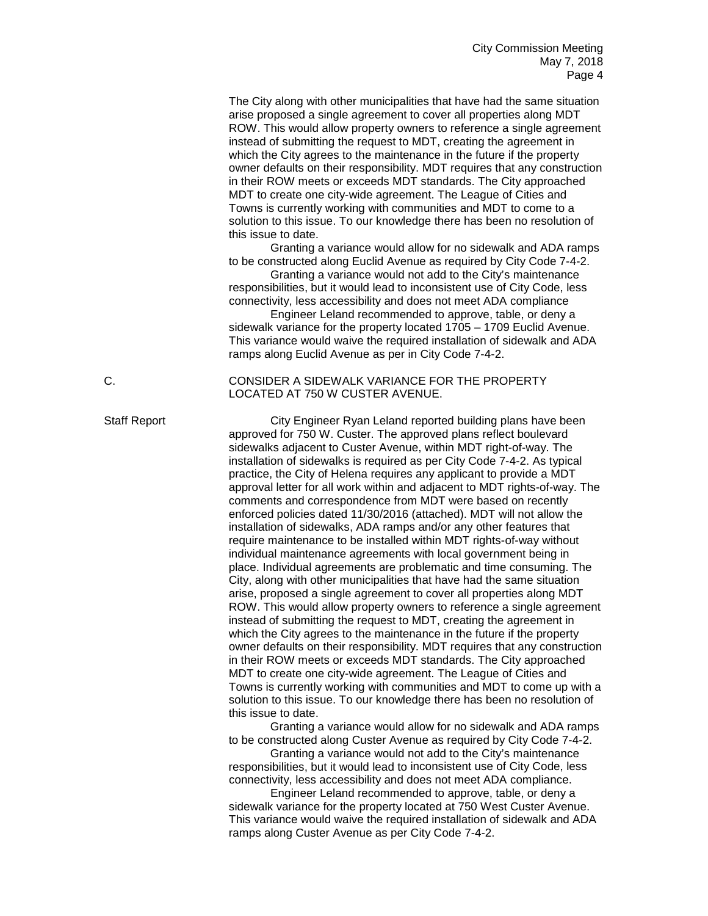The City along with other municipalities that have had the same situation arise proposed a single agreement to cover all properties along MDT ROW. This would allow property owners to reference a single agreement instead of submitting the request to MDT, creating the agreement in which the City agrees to the maintenance in the future if the property owner defaults on their responsibility. MDT requires that any construction in their ROW meets or exceeds MDT standards. The City approached MDT to create one city-wide agreement. The League of Cities and Towns is currently working with communities and MDT to come to a solution to this issue. To our knowledge there has been no resolution of this issue to date.

Granting a variance would allow for no sidewalk and ADA ramps to be constructed along Euclid Avenue as required by City Code 7-4-2.

Granting a variance would not add to the City's maintenance responsibilities, but it would lead to inconsistent use of City Code, less connectivity, less accessibility and does not meet ADA compliance

Engineer Leland recommended to approve, table, or deny a sidewalk variance for the property located 1705 – 1709 Euclid Avenue. This variance would waive the required installation of sidewalk and ADA ramps along Euclid Avenue as per in City Code 7-4-2.

## C. CONSIDER A SIDEWALK VARIANCE FOR THE PROPERTY LOCATED AT 750 W CUSTER AVENUE.

Staff Report City Engineer Ryan Leland reported building plans have been approved for 750 W. Custer. The approved plans reflect boulevard sidewalks adjacent to Custer Avenue, within MDT right-of-way. The installation of sidewalks is required as per City Code 7-4-2. As typical practice, the City of Helena requires any applicant to provide a MDT approval letter for all work within and adjacent to MDT rights-of-way. The comments and correspondence from MDT were based on recently enforced policies dated 11/30/2016 (attached). MDT will not allow the installation of sidewalks, ADA ramps and/or any other features that require maintenance to be installed within MDT rights-of-way without individual maintenance agreements with local government being in place. Individual agreements are problematic and time consuming. The City, along with other municipalities that have had the same situation arise, proposed a single agreement to cover all properties along MDT ROW. This would allow property owners to reference a single agreement instead of submitting the request to MDT, creating the agreement in which the City agrees to the maintenance in the future if the property owner defaults on their responsibility. MDT requires that any construction in their ROW meets or exceeds MDT standards. The City approached MDT to create one city-wide agreement. The League of Cities and Towns is currently working with communities and MDT to come up with a solution to this issue. To our knowledge there has been no resolution of this issue to date.

Granting a variance would allow for no sidewalk and ADA ramps to be constructed along Custer Avenue as required by City Code 7-4-2.

Granting a variance would not add to the City's maintenance responsibilities, but it would lead to inconsistent use of City Code, less connectivity, less accessibility and does not meet ADA compliance.

Engineer Leland recommended to approve, table, or deny a sidewalk variance for the property located at 750 West Custer Avenue. This variance would waive the required installation of sidewalk and ADA ramps along Custer Avenue as per City Code 7-4-2.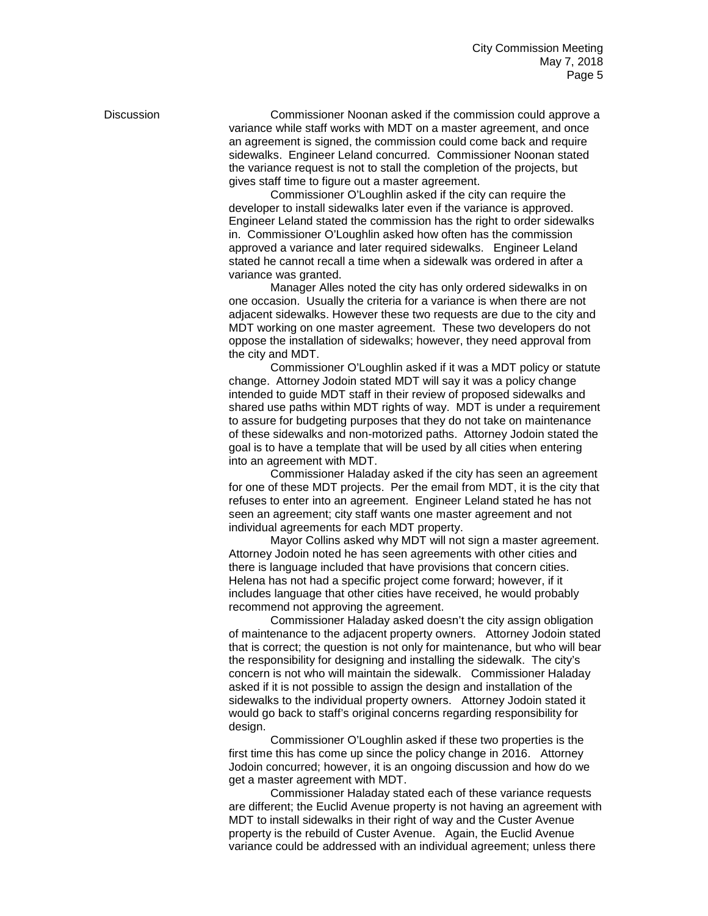Discussion Commissioner Noonan asked if the commission could approve a variance while staff works with MDT on a master agreement, and once an agreement is signed, the commission could come back and require sidewalks. Engineer Leland concurred. Commissioner Noonan stated the variance request is not to stall the completion of the projects, but gives staff time to figure out a master agreement.

Commissioner O'Loughlin asked if the city can require the developer to install sidewalks later even if the variance is approved. Engineer Leland stated the commission has the right to order sidewalks in. Commissioner O'Loughlin asked how often has the commission approved a variance and later required sidewalks. Engineer Leland stated he cannot recall a time when a sidewalk was ordered in after a variance was granted.

Manager Alles noted the city has only ordered sidewalks in on one occasion. Usually the criteria for a variance is when there are not adjacent sidewalks. However these two requests are due to the city and MDT working on one master agreement. These two developers do not oppose the installation of sidewalks; however, they need approval from the city and MDT.

Commissioner O'Loughlin asked if it was a MDT policy or statute change. Attorney Jodoin stated MDT will say it was a policy change intended to guide MDT staff in their review of proposed sidewalks and shared use paths within MDT rights of way. MDT is under a requirement to assure for budgeting purposes that they do not take on maintenance of these sidewalks and non-motorized paths. Attorney Jodoin stated the goal is to have a template that will be used by all cities when entering into an agreement with MDT.

Commissioner Haladay asked if the city has seen an agreement for one of these MDT projects. Per the email from MDT, it is the city that refuses to enter into an agreement. Engineer Leland stated he has not seen an agreement; city staff wants one master agreement and not individual agreements for each MDT property.

Mayor Collins asked why MDT will not sign a master agreement. Attorney Jodoin noted he has seen agreements with other cities and there is language included that have provisions that concern cities. Helena has not had a specific project come forward; however, if it includes language that other cities have received, he would probably recommend not approving the agreement.

Commissioner Haladay asked doesn't the city assign obligation of maintenance to the adjacent property owners. Attorney Jodoin stated that is correct; the question is not only for maintenance, but who will bear the responsibility for designing and installing the sidewalk. The city's concern is not who will maintain the sidewalk. Commissioner Haladay asked if it is not possible to assign the design and installation of the sidewalks to the individual property owners. Attorney Jodoin stated it would go back to staff's original concerns regarding responsibility for design.

Commissioner O'Loughlin asked if these two properties is the first time this has come up since the policy change in 2016. Attorney Jodoin concurred; however, it is an ongoing discussion and how do we get a master agreement with MDT.

Commissioner Haladay stated each of these variance requests are different; the Euclid Avenue property is not having an agreement with MDT to install sidewalks in their right of way and the Custer Avenue property is the rebuild of Custer Avenue. Again, the Euclid Avenue variance could be addressed with an individual agreement; unless there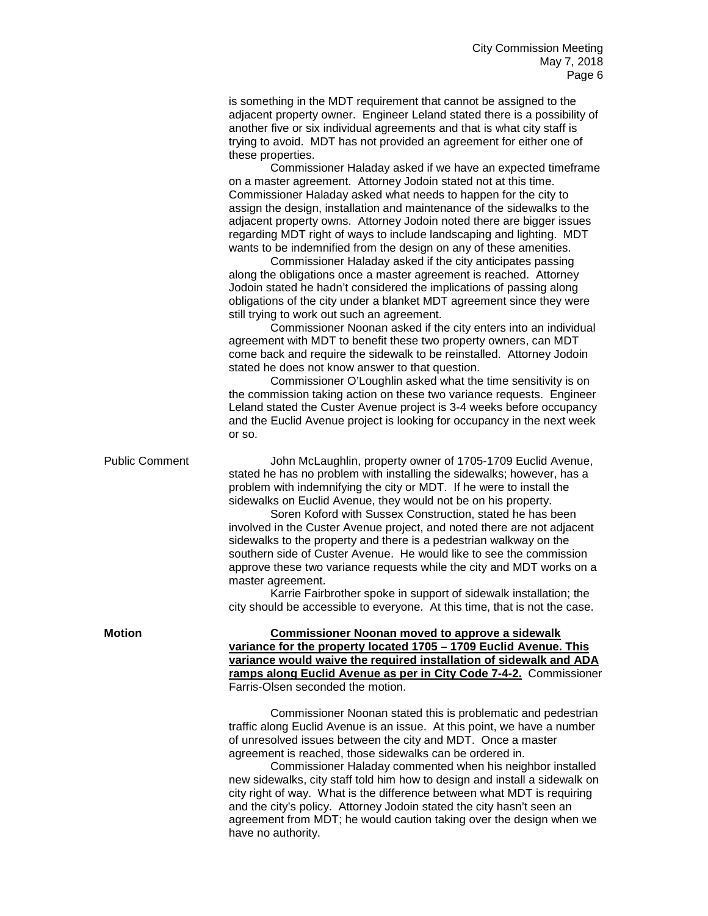is something in the MDT requirement that cannot be assigned to the adjacent property owner. Engineer Leland stated there is a possibility of another five or six individual agreements and that is what city staff is trying to avoid. MDT has not provided an agreement for either one of these properties.

Commissioner Haladay asked if we have an expected timeframe on a master agreement. Attorney Jodoin stated not at this time. Commissioner Haladay asked what needs to happen for the city to assign the design, installation and maintenance of the sidewalks to the adjacent property owns. Attorney Jodoin noted there are bigger issues regarding MDT right of ways to include landscaping and lighting. MDT wants to be indemnified from the design on any of these amenities.

Commissioner Haladay asked if the city anticipates passing along the obligations once a master agreement is reached. Attorney Jodoin stated he hadn't considered the implications of passing along obligations of the city under a blanket MDT agreement since they were still trying to work out such an agreement.

Commissioner Noonan asked if the city enters into an individual agreement with MDT to benefit these two property owners, can MDT come back and require the sidewalk to be reinstalled. Attorney Jodoin stated he does not know answer to that question.

Commissioner O'Loughlin asked what the time sensitivity is on the commission taking action on these two variance requests. Engineer Leland stated the Custer Avenue project is 3-4 weeks before occupancy and the Euclid Avenue project is looking for occupancy in the next week or so.

Public Comment John McLaughlin, property owner of 1705-1709 Euclid Avenue, stated he has no problem with installing the sidewalks; however, has a problem with indemnifying the city or MDT. If he were to install the sidewalks on Euclid Avenue, they would not be on his property.

Soren Koford with Sussex Construction, stated he has been involved in the Custer Avenue project, and noted there are not adjacent sidewalks to the property and there is a pedestrian walkway on the southern side of Custer Avenue. He would like to see the commission approve these two variance requests while the city and MDT works on a master agreement.

Karrie Fairbrother spoke in support of sidewalk installation; the city should be accessible to everyone. At this time, that is not the case.

**Motion Commissioner Noonan moved to approve a sidewalk variance for the property located 1705 – 1709 Euclid Avenue. This variance would waive the required installation of sidewalk and ADA ramps along Euclid Avenue as per in City Code 7-4-2.** Commissioner Farris-Olsen seconded the motion.

> Commissioner Noonan stated this is problematic and pedestrian traffic along Euclid Avenue is an issue. At this point, we have a number of unresolved issues between the city and MDT. Once a master agreement is reached, those sidewalks can be ordered in.

> Commissioner Haladay commented when his neighbor installed new sidewalks, city staff told him how to design and install a sidewalk on city right of way. What is the difference between what MDT is requiring and the city's policy. Attorney Jodoin stated the city hasn't seen an agreement from MDT; he would caution taking over the design when we have no authority.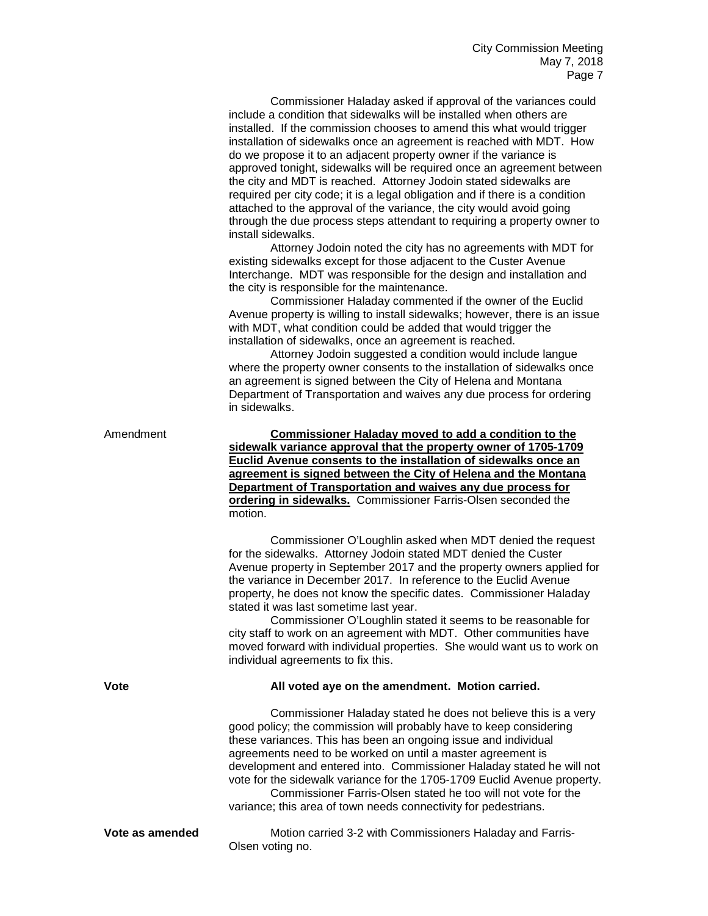Commissioner Haladay asked if approval of the variances could include a condition that sidewalks will be installed when others are installed. If the commission chooses to amend this what would trigger installation of sidewalks once an agreement is reached with MDT. How do we propose it to an adjacent property owner if the variance is approved tonight, sidewalks will be required once an agreement between the city and MDT is reached. Attorney Jodoin stated sidewalks are required per city code; it is a legal obligation and if there is a condition attached to the approval of the variance, the city would avoid going through the due process steps attendant to requiring a property owner to install sidewalks.

Attorney Jodoin noted the city has no agreements with MDT for existing sidewalks except for those adjacent to the Custer Avenue Interchange. MDT was responsible for the design and installation and the city is responsible for the maintenance.

Commissioner Haladay commented if the owner of the Euclid Avenue property is willing to install sidewalks; however, there is an issue with MDT, what condition could be added that would trigger the installation of sidewalks, once an agreement is reached.

Attorney Jodoin suggested a condition would include langue where the property owner consents to the installation of sidewalks once an agreement is signed between the City of Helena and Montana Department of Transportation and waives any due process for ordering in sidewalks.

| <b>Commissioner Haladay moved to add a condition to the</b>     |  |
|-----------------------------------------------------------------|--|
| sidewalk variance approval that the property owner of 1705-1709 |  |
| Euclid Avenue consents to the installation of sidewalks once an |  |
| agreement is signed between the City of Helena and the Montana  |  |
| Department of Transportation and waives any due process for     |  |
| ordering in sidewalks. Commissioner Farris-Olsen seconded the   |  |
| motion.                                                         |  |
|                                                                 |  |

Commissioner O'Loughlin asked when MDT denied the request for the sidewalks. Attorney Jodoin stated MDT denied the Custer Avenue property in September 2017 and the property owners applied for the variance in December 2017. In reference to the Euclid Avenue property, he does not know the specific dates. Commissioner Haladay stated it was last sometime last year.

Commissioner O'Loughlin stated it seems to be reasonable for city staff to work on an agreement with MDT. Other communities have moved forward with individual properties. She would want us to work on individual agreements to fix this.

Amendment

## **Vote All voted aye on the amendment. Motion carried.**

Commissioner Haladay stated he does not believe this is a very good policy; the commission will probably have to keep considering these variances. This has been an ongoing issue and individual agreements need to be worked on until a master agreement is development and entered into. Commissioner Haladay stated he will not vote for the sidewalk variance for the 1705-1709 Euclid Avenue property.

Commissioner Farris-Olsen stated he too will not vote for the variance; this area of town needs connectivity for pedestrians.

**Vote as amended** Motion carried 3-2 with Commissioners Haladay and Farris-Olsen voting no.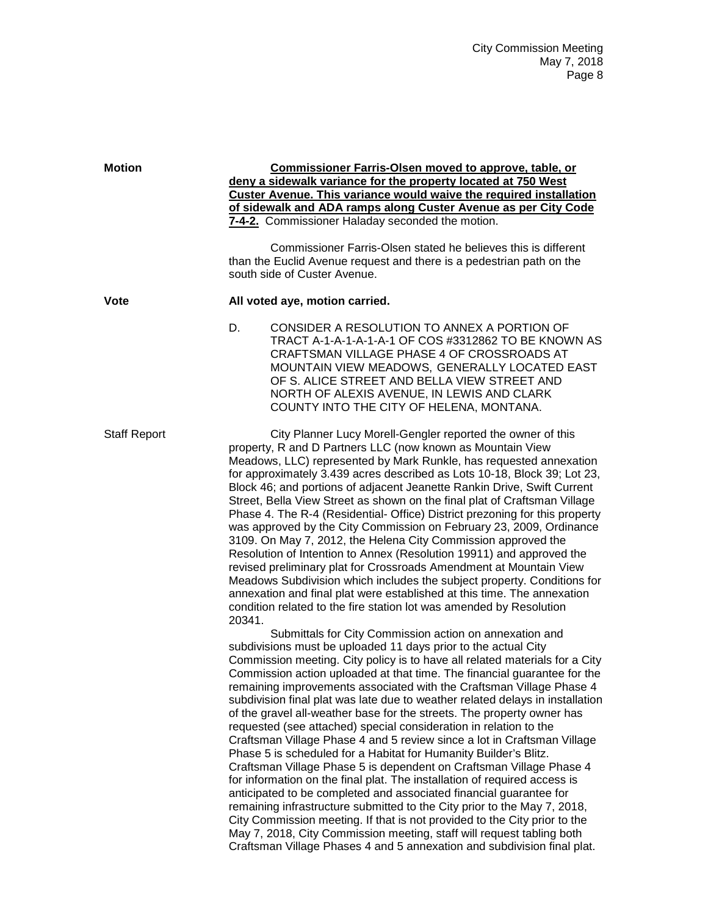| <b>Motion</b>       | <b>Commissioner Farris-Olsen moved to approve, table, or</b><br>deny a sidewalk variance for the property located at 750 West<br><b>Custer Avenue. This variance would waive the required installation</b><br>of sidewalk and ADA ramps along Custer Avenue as per City Code<br>7-4-2. Commissioner Haladay seconded the motion.<br>Commissioner Farris-Olsen stated he believes this is different<br>than the Euclid Avenue request and there is a pedestrian path on the<br>south side of Custer Avenue.                                                                                                                                                                                                                                                                                                                                                                                                                                                                                                                                                                                                                                                                                                                                                                                   |  |
|---------------------|----------------------------------------------------------------------------------------------------------------------------------------------------------------------------------------------------------------------------------------------------------------------------------------------------------------------------------------------------------------------------------------------------------------------------------------------------------------------------------------------------------------------------------------------------------------------------------------------------------------------------------------------------------------------------------------------------------------------------------------------------------------------------------------------------------------------------------------------------------------------------------------------------------------------------------------------------------------------------------------------------------------------------------------------------------------------------------------------------------------------------------------------------------------------------------------------------------------------------------------------------------------------------------------------|--|
| <b>Vote</b>         | All voted aye, motion carried.                                                                                                                                                                                                                                                                                                                                                                                                                                                                                                                                                                                                                                                                                                                                                                                                                                                                                                                                                                                                                                                                                                                                                                                                                                                               |  |
|                     | D.<br>CONSIDER A RESOLUTION TO ANNEX A PORTION OF<br>TRACT A-1-A-1-A-1-A-1 OF COS #3312862 TO BE KNOWN AS<br>CRAFTSMAN VILLAGE PHASE 4 OF CROSSROADS AT<br>MOUNTAIN VIEW MEADOWS, GENERALLY LOCATED EAST<br>OF S. ALICE STREET AND BELLA VIEW STREET AND<br>NORTH OF ALEXIS AVENUE, IN LEWIS AND CLARK<br>COUNTY INTO THE CITY OF HELENA, MONTANA.                                                                                                                                                                                                                                                                                                                                                                                                                                                                                                                                                                                                                                                                                                                                                                                                                                                                                                                                           |  |
| <b>Staff Report</b> | City Planner Lucy Morell-Gengler reported the owner of this<br>property, R and D Partners LLC (now known as Mountain View<br>Meadows, LLC) represented by Mark Runkle, has requested annexation<br>for approximately 3.439 acres described as Lots 10-18, Block 39; Lot 23,<br>Block 46; and portions of adjacent Jeanette Rankin Drive, Swift Current<br>Street, Bella View Street as shown on the final plat of Craftsman Village<br>Phase 4. The R-4 (Residential- Office) District prezoning for this property<br>was approved by the City Commission on February 23, 2009, Ordinance<br>3109. On May 7, 2012, the Helena City Commission approved the<br>Resolution of Intention to Annex (Resolution 19911) and approved the<br>revised preliminary plat for Crossroads Amendment at Mountain View<br>Meadows Subdivision which includes the subject property. Conditions for<br>annexation and final plat were established at this time. The annexation<br>condition related to the fire station lot was amended by Resolution                                                                                                                                                                                                                                                        |  |
|                     | 20341.<br>Submittals for City Commission action on annexation and<br>subdivisions must be uploaded 11 days prior to the actual City<br>Commission meeting. City policy is to have all related materials for a City<br>Commission action uploaded at that time. The financial guarantee for the<br>remaining improvements associated with the Craftsman Village Phase 4<br>subdivision final plat was late due to weather related delays in installation<br>of the gravel all-weather base for the streets. The property owner has<br>requested (see attached) special consideration in relation to the<br>Craftsman Village Phase 4 and 5 review since a lot in Craftsman Village<br>Phase 5 is scheduled for a Habitat for Humanity Builder's Blitz.<br>Craftsman Village Phase 5 is dependent on Craftsman Village Phase 4<br>for information on the final plat. The installation of required access is<br>anticipated to be completed and associated financial guarantee for<br>remaining infrastructure submitted to the City prior to the May 7, 2018,<br>City Commission meeting. If that is not provided to the City prior to the<br>May 7, 2018, City Commission meeting, staff will request tabling both<br>Craftsman Village Phases 4 and 5 annexation and subdivision final plat. |  |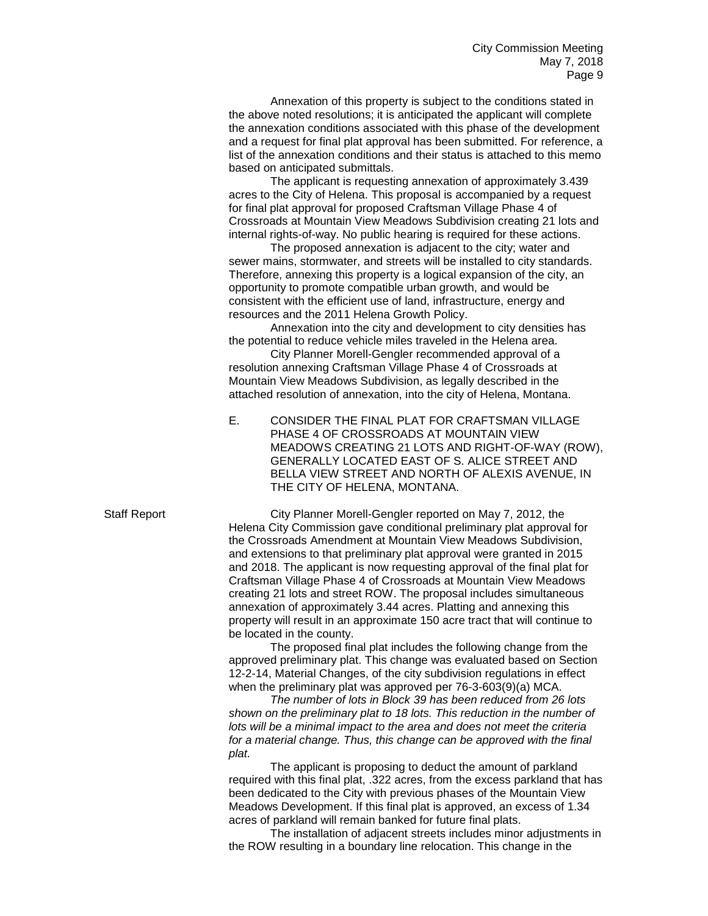Annexation of this property is subject to the conditions stated in the above noted resolutions; it is anticipated the applicant will complete the annexation conditions associated with this phase of the development and a request for final plat approval has been submitted. For reference, a list of the annexation conditions and their status is attached to this memo based on anticipated submittals.

The applicant is requesting annexation of approximately 3.439 acres to the City of Helena. This proposal is accompanied by a request for final plat approval for proposed Craftsman Village Phase 4 of Crossroads at Mountain View Meadows Subdivision creating 21 lots and internal rights-of-way. No public hearing is required for these actions.

The proposed annexation is adjacent to the city; water and sewer mains, stormwater, and streets will be installed to city standards. Therefore, annexing this property is a logical expansion of the city, an opportunity to promote compatible urban growth, and would be consistent with the efficient use of land, infrastructure, energy and resources and the 2011 Helena Growth Policy.

Annexation into the city and development to city densities has the potential to reduce vehicle miles traveled in the Helena area.

City Planner Morell-Gengler recommended approval of a resolution annexing Craftsman Village Phase 4 of Crossroads at Mountain View Meadows Subdivision, as legally described in the attached resolution of annexation, into the city of Helena, Montana.

E. CONSIDER THE FINAL PLAT FOR CRAFTSMAN VILLAGE PHASE 4 OF CROSSROADS AT MOUNTAIN VIEW MEADOWS CREATING 21 LOTS AND RIGHT-OF-WAY (ROW), GENERALLY LOCATED EAST OF S. ALICE STREET AND BELLA VIEW STREET AND NORTH OF ALEXIS AVENUE, IN THE CITY OF HELENA, MONTANA.

Staff Report City Planner Morell-Gengler reported on May 7, 2012, the Helena City Commission gave conditional preliminary plat approval for the Crossroads Amendment at Mountain View Meadows Subdivision, and extensions to that preliminary plat approval were granted in 2015 and 2018. The applicant is now requesting approval of the final plat for Craftsman Village Phase 4 of Crossroads at Mountain View Meadows creating 21 lots and street ROW. The proposal includes simultaneous annexation of approximately 3.44 acres. Platting and annexing this property will result in an approximate 150 acre tract that will continue to be located in the county.

> The proposed final plat includes the following change from the approved preliminary plat. This change was evaluated based on Section 12-2-14, Material Changes, of the city subdivision regulations in effect when the preliminary plat was approved per 76-3-603(9)(a) MCA.

> *The number of lots in Block 39 has been reduced from 26 lots shown on the preliminary plat to 18 lots. This reduction in the number of lots will be a minimal impact to the area and does not meet the criteria for a material change. Thus, this change can be approved with the final plat.*

The applicant is proposing to deduct the amount of parkland required with this final plat, .322 acres, from the excess parkland that has been dedicated to the City with previous phases of the Mountain View Meadows Development. If this final plat is approved, an excess of 1.34 acres of parkland will remain banked for future final plats.

The installation of adjacent streets includes minor adjustments in the ROW resulting in a boundary line relocation. This change in the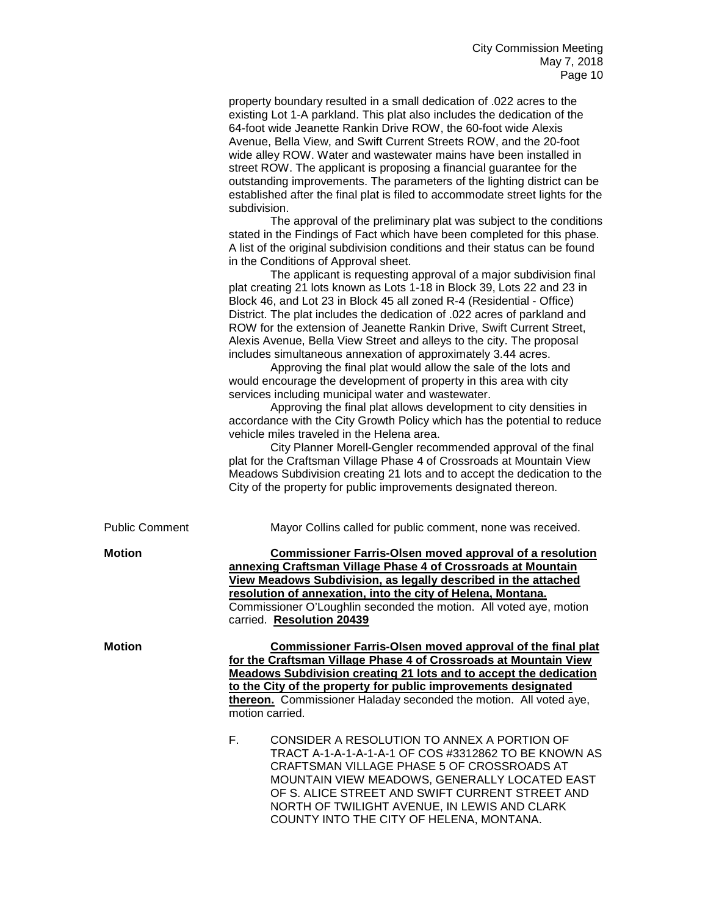property boundary resulted in a small dedication of .022 acres to the existing Lot 1-A parkland. This plat also includes the dedication of the 64-foot wide Jeanette Rankin Drive ROW, the 60-foot wide Alexis Avenue, Bella View, and Swift Current Streets ROW, and the 20-foot wide alley ROW. Water and wastewater mains have been installed in street ROW. The applicant is proposing a financial guarantee for the outstanding improvements. The parameters of the lighting district can be established after the final plat is filed to accommodate street lights for the subdivision.

The approval of the preliminary plat was subject to the conditions stated in the Findings of Fact which have been completed for this phase. A list of the original subdivision conditions and their status can be found in the Conditions of Approval sheet.

The applicant is requesting approval of a major subdivision final plat creating 21 lots known as Lots 1-18 in Block 39, Lots 22 and 23 in Block 46, and Lot 23 in Block 45 all zoned R-4 (Residential - Office) District. The plat includes the dedication of .022 acres of parkland and ROW for the extension of Jeanette Rankin Drive, Swift Current Street, Alexis Avenue, Bella View Street and alleys to the city. The proposal includes simultaneous annexation of approximately 3.44 acres.

Approving the final plat would allow the sale of the lots and would encourage the development of property in this area with city services including municipal water and wastewater.

Approving the final plat allows development to city densities in accordance with the City Growth Policy which has the potential to reduce vehicle miles traveled in the Helena area.

City Planner Morell-Gengler recommended approval of the final plat for the Craftsman Village Phase 4 of Crossroads at Mountain View Meadows Subdivision creating 21 lots and to accept the dedication to the City of the property for public improvements designated thereon.

|  | Public Comment |
|--|----------------|
|--|----------------|

Mayor Collins called for public comment, none was received.

**Motion Commissioner Farris-Olsen moved approval of a resolution annexing Craftsman Village Phase 4 of Crossroads at Mountain View Meadows Subdivision, as legally described in the attached resolution of annexation, into the city of Helena, Montana.** Commissioner O'Loughlin seconded the motion. All voted aye, motion carried. **Resolution 20439**

**Motion Commissioner Farris-Olsen moved approval of the final plat for the Craftsman Village Phase 4 of Crossroads at Mountain View Meadows Subdivision creating 21 lots and to accept the dedication to the City of the property for public improvements designated thereon.** Commissioner Haladay seconded the motion. All voted aye, motion carried.

> F. CONSIDER A RESOLUTION TO ANNEX A PORTION OF TRACT A-1-A-1-A-1-A-1 OF COS #3312862 TO BE KNOWN AS CRAFTSMAN VILLAGE PHASE 5 OF CROSSROADS AT MOUNTAIN VIEW MEADOWS, GENERALLY LOCATED EAST OF S. ALICE STREET AND SWIFT CURRENT STREET AND NORTH OF TWILIGHT AVENUE, IN LEWIS AND CLARK COUNTY INTO THE CITY OF HELENA, MONTANA.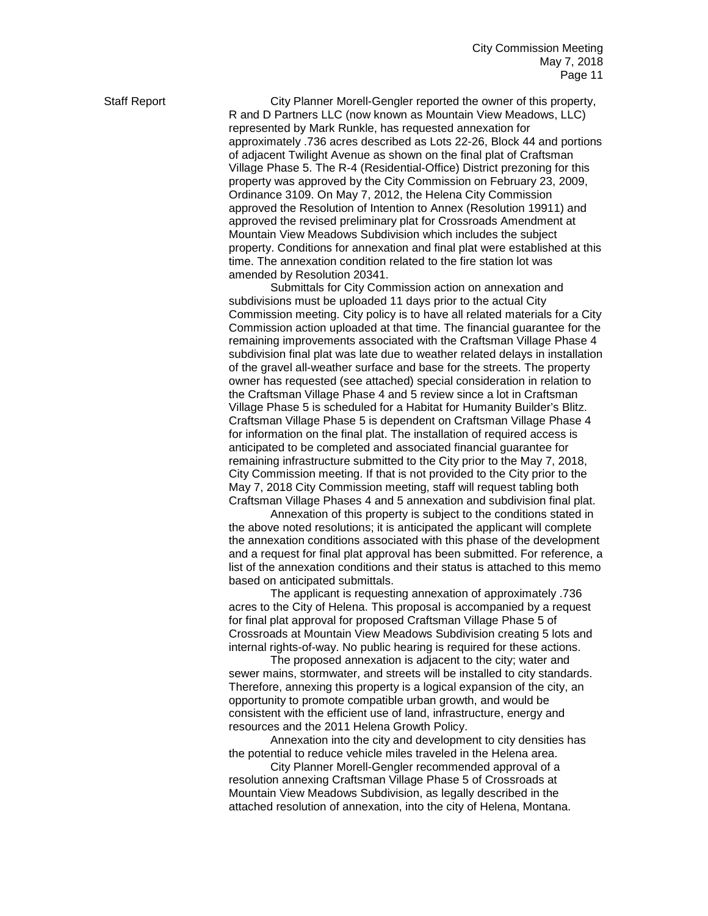Staff Report **City Planner Morell-Gengler reported the owner of this property,** R and D Partners LLC (now known as Mountain View Meadows, LLC) represented by Mark Runkle, has requested annexation for approximately .736 acres described as Lots 22-26, Block 44 and portions of adjacent Twilight Avenue as shown on the final plat of Craftsman Village Phase 5. The R-4 (Residential-Office) District prezoning for this property was approved by the City Commission on February 23, 2009, Ordinance 3109. On May 7, 2012, the Helena City Commission approved the Resolution of Intention to Annex (Resolution 19911) and approved the revised preliminary plat for Crossroads Amendment at Mountain View Meadows Subdivision which includes the subject property. Conditions for annexation and final plat were established at this time. The annexation condition related to the fire station lot was amended by Resolution 20341.

> Submittals for City Commission action on annexation and subdivisions must be uploaded 11 days prior to the actual City Commission meeting. City policy is to have all related materials for a City Commission action uploaded at that time. The financial guarantee for the remaining improvements associated with the Craftsman Village Phase 4 subdivision final plat was late due to weather related delays in installation of the gravel all-weather surface and base for the streets. The property owner has requested (see attached) special consideration in relation to the Craftsman Village Phase 4 and 5 review since a lot in Craftsman Village Phase 5 is scheduled for a Habitat for Humanity Builder's Blitz. Craftsman Village Phase 5 is dependent on Craftsman Village Phase 4 for information on the final plat. The installation of required access is anticipated to be completed and associated financial guarantee for remaining infrastructure submitted to the City prior to the May 7, 2018, City Commission meeting. If that is not provided to the City prior to the May 7, 2018 City Commission meeting, staff will request tabling both Craftsman Village Phases 4 and 5 annexation and subdivision final plat.

> Annexation of this property is subject to the conditions stated in the above noted resolutions; it is anticipated the applicant will complete the annexation conditions associated with this phase of the development and a request for final plat approval has been submitted. For reference, a list of the annexation conditions and their status is attached to this memo based on anticipated submittals.

The applicant is requesting annexation of approximately .736 acres to the City of Helena. This proposal is accompanied by a request for final plat approval for proposed Craftsman Village Phase 5 of Crossroads at Mountain View Meadows Subdivision creating 5 lots and internal rights-of-way. No public hearing is required for these actions.

The proposed annexation is adjacent to the city; water and sewer mains, stormwater, and streets will be installed to city standards. Therefore, annexing this property is a logical expansion of the city, an opportunity to promote compatible urban growth, and would be consistent with the efficient use of land, infrastructure, energy and resources and the 2011 Helena Growth Policy.

Annexation into the city and development to city densities has the potential to reduce vehicle miles traveled in the Helena area.

City Planner Morell-Gengler recommended approval of a resolution annexing Craftsman Village Phase 5 of Crossroads at Mountain View Meadows Subdivision, as legally described in the attached resolution of annexation, into the city of Helena, Montana.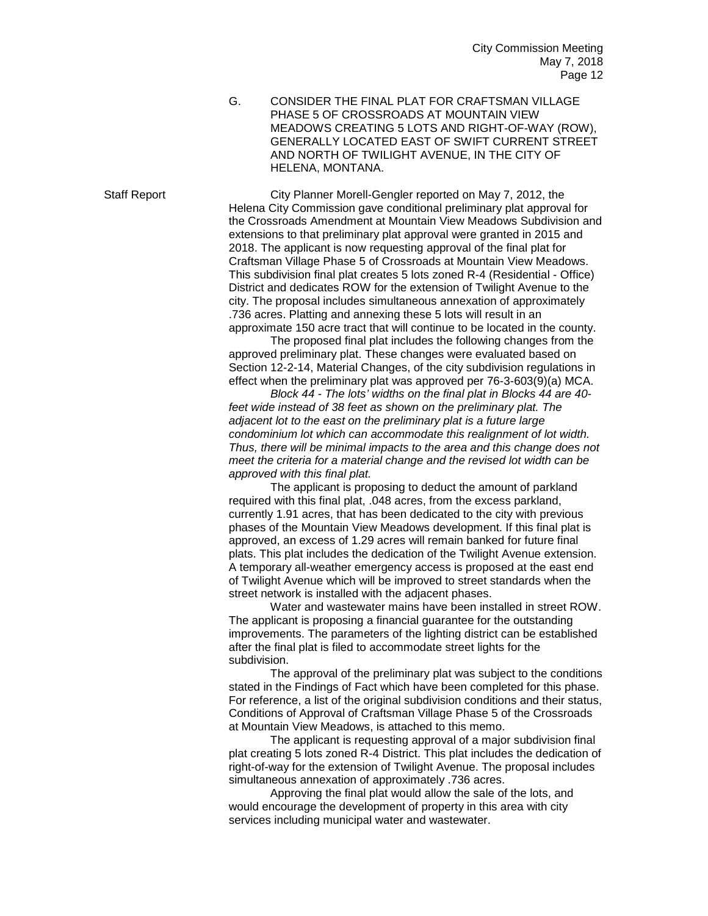G. CONSIDER THE FINAL PLAT FOR CRAFTSMAN VILLAGE PHASE 5 OF CROSSROADS AT MOUNTAIN VIEW MEADOWS CREATING 5 LOTS AND RIGHT-OF-WAY (ROW), GENERALLY LOCATED EAST OF SWIFT CURRENT STREET AND NORTH OF TWILIGHT AVENUE, IN THE CITY OF HELENA, MONTANA.

Staff Report City Planner Morell-Gengler reported on May 7, 2012, the Helena City Commission gave conditional preliminary plat approval for the Crossroads Amendment at Mountain View Meadows Subdivision and extensions to that preliminary plat approval were granted in 2015 and 2018. The applicant is now requesting approval of the final plat for Craftsman Village Phase 5 of Crossroads at Mountain View Meadows. This subdivision final plat creates 5 lots zoned R-4 (Residential - Office) District and dedicates ROW for the extension of Twilight Avenue to the city. The proposal includes simultaneous annexation of approximately .736 acres. Platting and annexing these 5 lots will result in an approximate 150 acre tract that will continue to be located in the county.

> The proposed final plat includes the following changes from the approved preliminary plat. These changes were evaluated based on Section 12-2-14, Material Changes, of the city subdivision regulations in effect when the preliminary plat was approved per 76-3-603(9)(a) MCA.

*Block 44 - The lots' widths on the final plat in Blocks 44 are 40 feet wide instead of 38 feet as shown on the preliminary plat. The adjacent lot to the east on the preliminary plat is a future large condominium lot which can accommodate this realignment of lot width. Thus, there will be minimal impacts to the area and this change does not meet the criteria for a material change and the revised lot width can be approved with this final plat.*

The applicant is proposing to deduct the amount of parkland required with this final plat, .048 acres, from the excess parkland, currently 1.91 acres, that has been dedicated to the city with previous phases of the Mountain View Meadows development. If this final plat is approved, an excess of 1.29 acres will remain banked for future final plats. This plat includes the dedication of the Twilight Avenue extension. A temporary all-weather emergency access is proposed at the east end of Twilight Avenue which will be improved to street standards when the street network is installed with the adjacent phases.

Water and wastewater mains have been installed in street ROW. The applicant is proposing a financial guarantee for the outstanding improvements. The parameters of the lighting district can be established after the final plat is filed to accommodate street lights for the subdivision.

The approval of the preliminary plat was subject to the conditions stated in the Findings of Fact which have been completed for this phase. For reference, a list of the original subdivision conditions and their status, Conditions of Approval of Craftsman Village Phase 5 of the Crossroads at Mountain View Meadows, is attached to this memo.

The applicant is requesting approval of a major subdivision final plat creating 5 lots zoned R-4 District. This plat includes the dedication of right-of-way for the extension of Twilight Avenue. The proposal includes simultaneous annexation of approximately .736 acres.

Approving the final plat would allow the sale of the lots, and would encourage the development of property in this area with city services including municipal water and wastewater.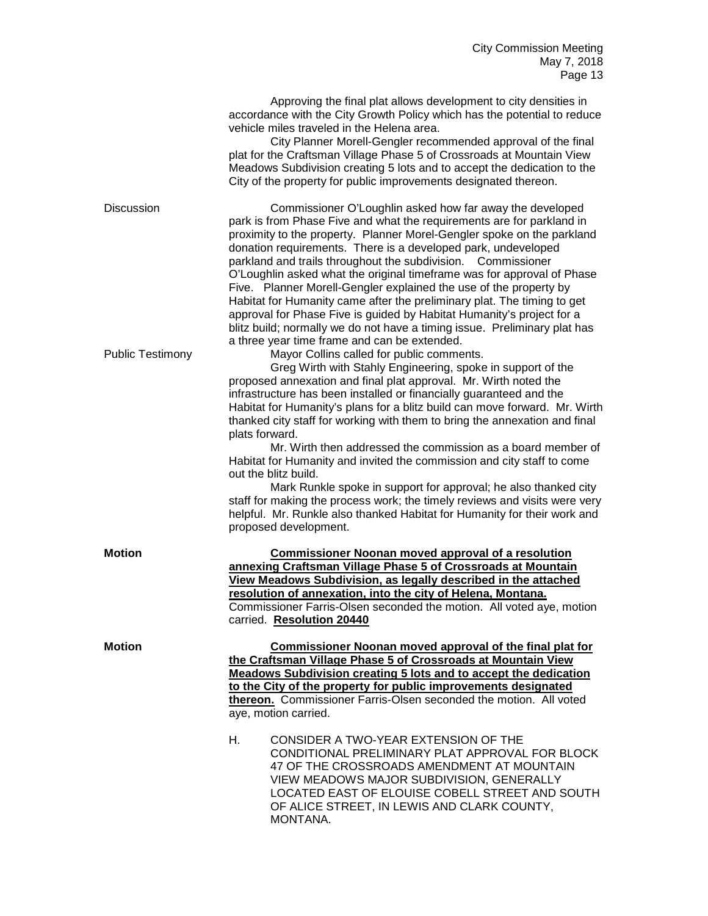|                         | Approving the final plat allows development to city densities in<br>accordance with the City Growth Policy which has the potential to reduce<br>vehicle miles traveled in the Helena area.<br>City Planner Morell-Gengler recommended approval of the final<br>plat for the Craftsman Village Phase 5 of Crossroads at Mountain View<br>Meadows Subdivision creating 5 lots and to accept the dedication to the<br>City of the property for public improvements designated thereon.                                                                                                                                                                                                                                                                                                                                                                                                                       |
|-------------------------|-----------------------------------------------------------------------------------------------------------------------------------------------------------------------------------------------------------------------------------------------------------------------------------------------------------------------------------------------------------------------------------------------------------------------------------------------------------------------------------------------------------------------------------------------------------------------------------------------------------------------------------------------------------------------------------------------------------------------------------------------------------------------------------------------------------------------------------------------------------------------------------------------------------|
| <b>Discussion</b>       | Commissioner O'Loughlin asked how far away the developed<br>park is from Phase Five and what the requirements are for parkland in<br>proximity to the property. Planner Morel-Gengler spoke on the parkland<br>donation requirements. There is a developed park, undeveloped<br>parkland and trails throughout the subdivision. Commissioner<br>O'Loughlin asked what the original timeframe was for approval of Phase<br>Five. Planner Morell-Gengler explained the use of the property by<br>Habitat for Humanity came after the preliminary plat. The timing to get<br>approval for Phase Five is guided by Habitat Humanity's project for a<br>blitz build; normally we do not have a timing issue. Preliminary plat has                                                                                                                                                                              |
| <b>Public Testimony</b> | a three year time frame and can be extended.<br>Mayor Collins called for public comments.<br>Greg Wirth with Stahly Engineering, spoke in support of the<br>proposed annexation and final plat approval. Mr. Wirth noted the<br>infrastructure has been installed or financially guaranteed and the<br>Habitat for Humanity's plans for a blitz build can move forward. Mr. Wirth<br>thanked city staff for working with them to bring the annexation and final<br>plats forward.<br>Mr. Wirth then addressed the commission as a board member of<br>Habitat for Humanity and invited the commission and city staff to come<br>out the blitz build.<br>Mark Runkle spoke in support for approval; he also thanked city<br>staff for making the process work; the timely reviews and visits were very<br>helpful. Mr. Runkle also thanked Habitat for Humanity for their work and<br>proposed development. |
| <b>Motion</b>           | <b>Commissioner Noonan moved approval of a resolution</b><br>annexing Craftsman Village Phase 5 of Crossroads at Mountain<br>View Meadows Subdivision, as legally described in the attached<br>resolution of annexation, into the city of Helena, Montana.<br>Commissioner Farris-Olsen seconded the motion. All voted aye, motion<br>carried. Resolution 20440                                                                                                                                                                                                                                                                                                                                                                                                                                                                                                                                           |
| <b>Motion</b>           | Commissioner Noonan moved approval of the final plat for<br>the Craftsman Village Phase 5 of Crossroads at Mountain View<br>Meadows Subdivision creating 5 lots and to accept the dedication<br>to the City of the property for public improvements designated<br>thereon. Commissioner Farris-Olsen seconded the motion. All voted<br>aye, motion carried.<br>Η.<br>CONSIDER A TWO-YEAR EXTENSION OF THE<br>CONDITIONAL PRELIMINARY PLAT APPROVAL FOR BLOCK<br>47 OF THE CROSSROADS AMENDMENT AT MOUNTAIN<br>VIEW MEADOWS MAJOR SUBDIVISION, GENERALLY<br>LOCATED EAST OF ELOUISE COBELL STREET AND SOUTH<br>OF ALICE STREET, IN LEWIS AND CLARK COUNTY,<br>MONTANA.                                                                                                                                                                                                                                     |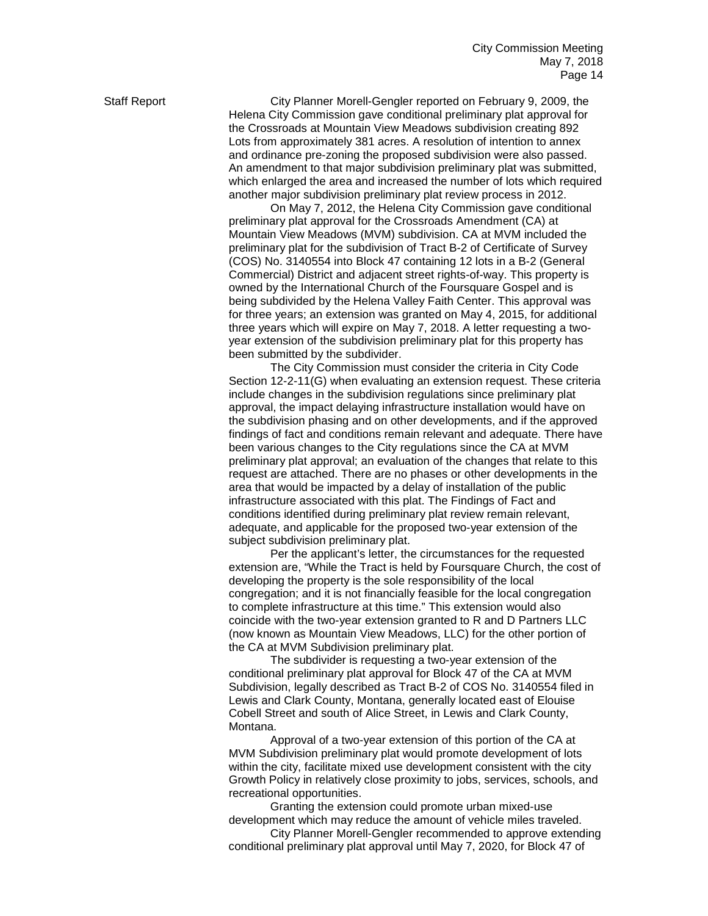Staff Report City Planner Morell-Gengler reported on February 9, 2009, the Helena City Commission gave conditional preliminary plat approval for the Crossroads at Mountain View Meadows subdivision creating 892 Lots from approximately 381 acres. A resolution of intention to annex and ordinance pre-zoning the proposed subdivision were also passed. An amendment to that major subdivision preliminary plat was submitted, which enlarged the area and increased the number of lots which required another major subdivision preliminary plat review process in 2012.

> On May 7, 2012, the Helena City Commission gave conditional preliminary plat approval for the Crossroads Amendment (CA) at Mountain View Meadows (MVM) subdivision. CA at MVM included the preliminary plat for the subdivision of Tract B-2 of Certificate of Survey (COS) No. 3140554 into Block 47 containing 12 lots in a B-2 (General Commercial) District and adjacent street rights-of-way. This property is owned by the International Church of the Foursquare Gospel and is being subdivided by the Helena Valley Faith Center. This approval was for three years; an extension was granted on May 4, 2015, for additional three years which will expire on May 7, 2018. A letter requesting a twoyear extension of the subdivision preliminary plat for this property has been submitted by the subdivider.

The City Commission must consider the criteria in City Code Section 12-2-11(G) when evaluating an extension request. These criteria include changes in the subdivision regulations since preliminary plat approval, the impact delaying infrastructure installation would have on the subdivision phasing and on other developments, and if the approved findings of fact and conditions remain relevant and adequate. There have been various changes to the City regulations since the CA at MVM preliminary plat approval; an evaluation of the changes that relate to this request are attached. There are no phases or other developments in the area that would be impacted by a delay of installation of the public infrastructure associated with this plat. The Findings of Fact and conditions identified during preliminary plat review remain relevant, adequate, and applicable for the proposed two-year extension of the subject subdivision preliminary plat.

Per the applicant's letter, the circumstances for the requested extension are, "While the Tract is held by Foursquare Church, the cost of developing the property is the sole responsibility of the local congregation; and it is not financially feasible for the local congregation to complete infrastructure at this time." This extension would also coincide with the two-year extension granted to R and D Partners LLC (now known as Mountain View Meadows, LLC) for the other portion of the CA at MVM Subdivision preliminary plat.

The subdivider is requesting a two-year extension of the conditional preliminary plat approval for Block 47 of the CA at MVM Subdivision, legally described as Tract B-2 of COS No. 3140554 filed in Lewis and Clark County, Montana, generally located east of Elouise Cobell Street and south of Alice Street, in Lewis and Clark County, Montana.

Approval of a two-year extension of this portion of the CA at MVM Subdivision preliminary plat would promote development of lots within the city, facilitate mixed use development consistent with the city Growth Policy in relatively close proximity to jobs, services, schools, and recreational opportunities.

Granting the extension could promote urban mixed-use development which may reduce the amount of vehicle miles traveled.

City Planner Morell-Gengler recommended to approve extending conditional preliminary plat approval until May 7, 2020, for Block 47 of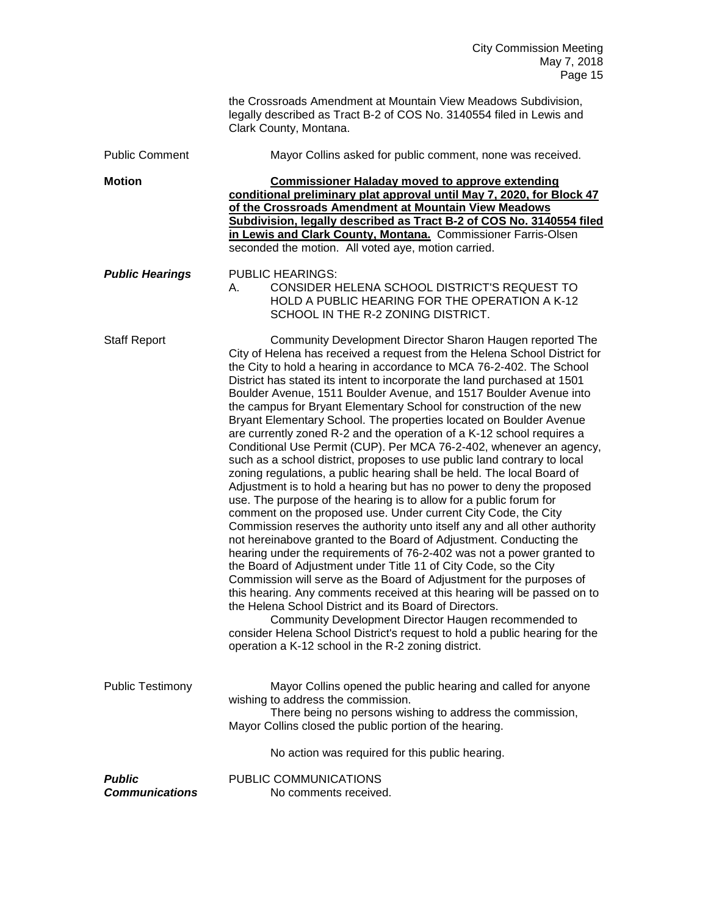|                                        | the Crossroads Amendment at Mountain View Meadows Subdivision,<br>legally described as Tract B-2 of COS No. 3140554 filed in Lewis and<br>Clark County, Montana.                                                                                                                                                                                                                                                                                                                                                                                                                                                                                                                                                                                                                                                                                                                                                                                                                                                                                                                                                                                                                                                                                                                                                                                                                                                                                                                                                                                                                                                                                                                                                                               |
|----------------------------------------|------------------------------------------------------------------------------------------------------------------------------------------------------------------------------------------------------------------------------------------------------------------------------------------------------------------------------------------------------------------------------------------------------------------------------------------------------------------------------------------------------------------------------------------------------------------------------------------------------------------------------------------------------------------------------------------------------------------------------------------------------------------------------------------------------------------------------------------------------------------------------------------------------------------------------------------------------------------------------------------------------------------------------------------------------------------------------------------------------------------------------------------------------------------------------------------------------------------------------------------------------------------------------------------------------------------------------------------------------------------------------------------------------------------------------------------------------------------------------------------------------------------------------------------------------------------------------------------------------------------------------------------------------------------------------------------------------------------------------------------------|
| <b>Public Comment</b>                  | Mayor Collins asked for public comment, none was received.                                                                                                                                                                                                                                                                                                                                                                                                                                                                                                                                                                                                                                                                                                                                                                                                                                                                                                                                                                                                                                                                                                                                                                                                                                                                                                                                                                                                                                                                                                                                                                                                                                                                                     |
| <b>Motion</b>                          | <b>Commissioner Haladay moved to approve extending</b><br>conditional preliminary plat approval until May 7, 2020, for Block 47<br>of the Crossroads Amendment at Mountain View Meadows<br>Subdivision, legally described as Tract B-2 of COS No. 3140554 filed<br>in Lewis and Clark County, Montana. Commissioner Farris-Olsen<br>seconded the motion. All voted aye, motion carried.                                                                                                                                                                                                                                                                                                                                                                                                                                                                                                                                                                                                                                                                                                                                                                                                                                                                                                                                                                                                                                                                                                                                                                                                                                                                                                                                                        |
| <b>Public Hearings</b>                 | <b>PUBLIC HEARINGS:</b><br>CONSIDER HELENA SCHOOL DISTRICT'S REQUEST TO<br>А.<br>HOLD A PUBLIC HEARING FOR THE OPERATION A K-12<br>SCHOOL IN THE R-2 ZONING DISTRICT.                                                                                                                                                                                                                                                                                                                                                                                                                                                                                                                                                                                                                                                                                                                                                                                                                                                                                                                                                                                                                                                                                                                                                                                                                                                                                                                                                                                                                                                                                                                                                                          |
| <b>Staff Report</b>                    | Community Development Director Sharon Haugen reported The<br>City of Helena has received a request from the Helena School District for<br>the City to hold a hearing in accordance to MCA 76-2-402. The School<br>District has stated its intent to incorporate the land purchased at 1501<br>Boulder Avenue, 1511 Boulder Avenue, and 1517 Boulder Avenue into<br>the campus for Bryant Elementary School for construction of the new<br>Bryant Elementary School. The properties located on Boulder Avenue<br>are currently zoned R-2 and the operation of a K-12 school requires a<br>Conditional Use Permit (CUP). Per MCA 76-2-402, whenever an agency,<br>such as a school district, proposes to use public land contrary to local<br>zoning regulations, a public hearing shall be held. The local Board of<br>Adjustment is to hold a hearing but has no power to deny the proposed<br>use. The purpose of the hearing is to allow for a public forum for<br>comment on the proposed use. Under current City Code, the City<br>Commission reserves the authority unto itself any and all other authority<br>not hereinabove granted to the Board of Adjustment. Conducting the<br>hearing under the requirements of 76-2-402 was not a power granted to<br>the Board of Adjustment under Title 11 of City Code, so the City<br>Commission will serve as the Board of Adjustment for the purposes of<br>this hearing. Any comments received at this hearing will be passed on to<br>the Helena School District and its Board of Directors.<br>Community Development Director Haugen recommended to<br>consider Helena School District's request to hold a public hearing for the<br>operation a K-12 school in the R-2 zoning district. |
| <b>Public Testimony</b>                | Mayor Collins opened the public hearing and called for anyone<br>wishing to address the commission.<br>There being no persons wishing to address the commission,<br>Mayor Collins closed the public portion of the hearing.                                                                                                                                                                                                                                                                                                                                                                                                                                                                                                                                                                                                                                                                                                                                                                                                                                                                                                                                                                                                                                                                                                                                                                                                                                                                                                                                                                                                                                                                                                                    |
|                                        | No action was required for this public hearing.                                                                                                                                                                                                                                                                                                                                                                                                                                                                                                                                                                                                                                                                                                                                                                                                                                                                                                                                                                                                                                                                                                                                                                                                                                                                                                                                                                                                                                                                                                                                                                                                                                                                                                |
| <b>Public</b><br><b>Communications</b> | PUBLIC COMMUNICATIONS<br>No comments received.                                                                                                                                                                                                                                                                                                                                                                                                                                                                                                                                                                                                                                                                                                                                                                                                                                                                                                                                                                                                                                                                                                                                                                                                                                                                                                                                                                                                                                                                                                                                                                                                                                                                                                 |